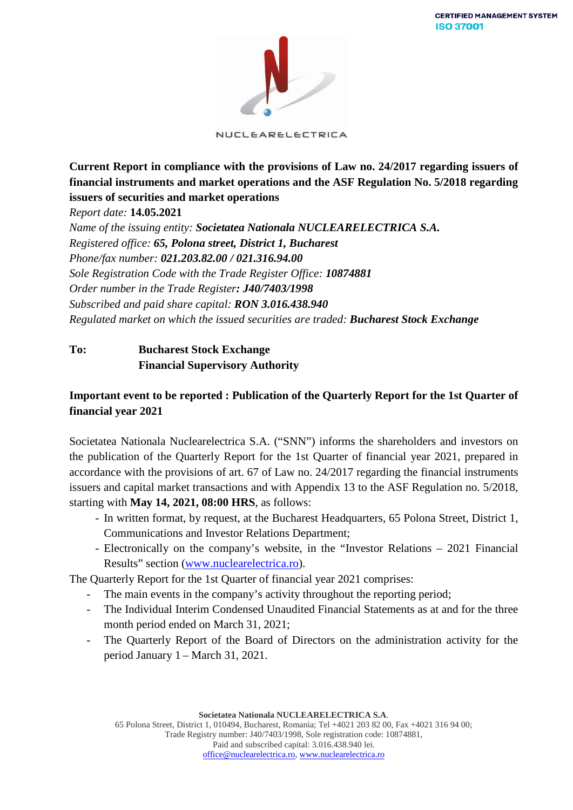

NUCLEARELECTRICA

**Current Report in compliance with the provisions of Law no. 24/2017 regarding issuers of financial instruments and market operations and the ASF Regulation No. 5/2018 regarding issuers of securities and market operations**

*Report date:* **14.05.2021**

*Name of the issuing entity: Societatea Nationala NUCLEARELECTRICA S.A. Registered office: 65, Polona street, District 1, Bucharest Phone/fax number: 021.203.82.00 / 021.316.94.00 Sole Registration Code with the Trade Register Office: 10874881 Order number in the Trade Register: J40/7403/1998 Subscribed and paid share capital: RON 3.016.438.940 Regulated market on which the issued securities are traded: Bucharest Stock Exchange*

# **To: Bucharest Stock Exchange Financial Supervisory Authority**

# **Important event to be reported : Publication of the Quarterly Report for the 1st Quarter of financial year 2021**

Societatea Nationala Nuclearelectrica S.A. ("SNN") informs the shareholders and investors on the publication of the Quarterly Report for the 1st Quarter of financial year 2021, prepared in accordance with the provisions of art. 67 of Law no. 24/2017 regarding the financial instruments issuers and capital market transactions and with Appendix 13 to the ASF Regulation no. 5/2018, starting with **May 14, 2021, 08:00 HRS**, as follows:

- In written format, by request, at the Bucharest Headquarters, 65 Polona Street, District 1, Communications and Investor Relations Department;
- Electronically on the company's website, in the "Investor Relations 2021 Financial Results" section [\(www.nuclearelectrica.ro\)](http://www.nuclearelectrica.ro/).

The Quarterly Report for the 1st Quarter of financial year 2021 comprises:

- The main events in the company's activity throughout the reporting period;
- The Individual Interim Condensed Unaudited Financial Statements as at and for the three month period ended on March 31, 2021;
- The Quarterly Report of the Board of Directors on the administration activity for the period January 1 – March 31, 2021.

**Societatea Nationala NUCLEARELECTRICA S.A**. 65 Polona Street, District 1, 010494, Bucharest, Romania; Tel +4021 203 82 00, Fax +4021 316 94 00; Trade Registry number: J40/7403/1998, Sole registration code: 10874881, Paid and subscribed capital: 3.016.438.940 lei. [office@nuclearelectrica.ro,](mailto:office@nuclearelectrica.ro) [www.nuclearelectrica.ro](http://www.nuclearelectrica.ro/)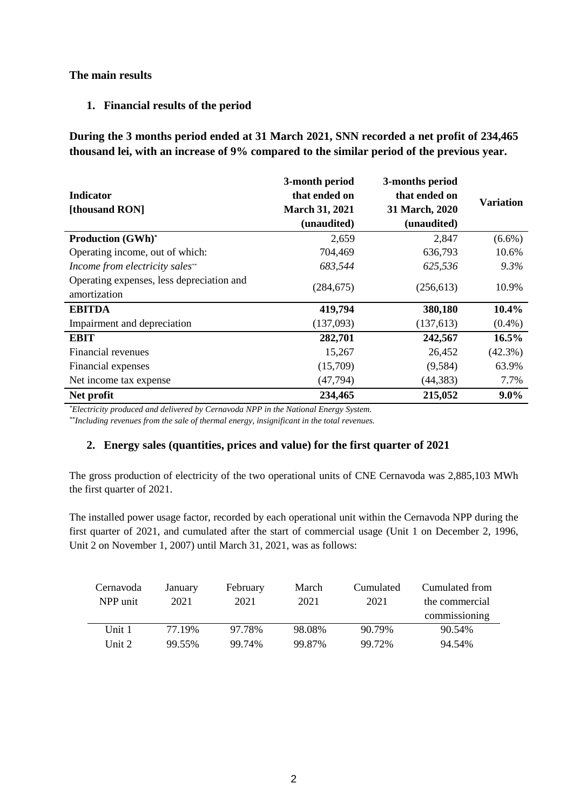## **The main results**

### **1. Financial results of the period**

**During the 3 months period ended at 31 March 2021, SNN recorded a net profit of 234,465 thousand lei, with an increase of 9% compared to the similar period of the previous year.**

|                                           | 3-month period        | 3-months period |                  |
|-------------------------------------------|-----------------------|-----------------|------------------|
| <b>Indicator</b>                          | that ended on         | that ended on   | <b>Variation</b> |
| [thousand RON]                            | <b>March 31, 2021</b> | 31 March, 2020  |                  |
|                                           | (unaudited)           | (unaudited)     |                  |
| <b>Production (GWh)*</b>                  | 2,659                 | 2,847           | $(6.6\%)$        |
| Operating income, out of which:           | 704,469               | 636,793         | 10.6%            |
| Income from electricity sales**           | 683,544               | 625,536         | $9.3\%$          |
| Operating expenses, less depreciation and | (284, 675)            | (256, 613)      | 10.9%            |
| amortization                              |                       |                 |                  |
| <b>EBITDA</b>                             | 419,794               | 380,180         | 10.4%            |
| Impairment and depreciation               | (137,093)             | (137,613)       | $(0.4\%)$        |
| <b>EBIT</b>                               | 282,701               | 242,567         | 16.5%            |
| Financial revenues                        | 15,267                | 26,452          | $(42.3\%)$       |
| Financial expenses                        | (15,709)              | (9,584)         | 63.9%            |
| Net income tax expense                    | (47, 794)             | (44, 383)       | 7.7%             |
| Net profit                                | 234,465               | 215,052         | $9.0\%$          |

*\*Electricity produced and delivered by Cernavoda NPP in the National Energy System.*

*\*\*Including revenues from the sale of thermal energy, insignificant in the total revenues.*

## **2. Energy sales (quantities, prices and value) for the first quarter of 2021**

The gross production of electricity of the two operational units of CNE Cernavoda was 2,885,103 MWh the first quarter of 2021.

The installed power usage factor, recorded by each operational unit within the Cernavoda NPP during the first quarter of 2021, and cumulated after the start of commercial usage (Unit 1 on December 2, 1996, Unit 2 on November 1, 2007) until March 31, 2021, was as follows:

| Cernavoda<br>NPP unit | January<br>2021 | February<br>2021 | March<br>2021 | Cumulated<br>2021 | Cumulated from<br>the commercial<br>commissioning |
|-----------------------|-----------------|------------------|---------------|-------------------|---------------------------------------------------|
| Unit 1                | 77.19%          | 97.78%           | 98.08%        | 90.79%            | 90.54%                                            |
| Unit $2$              | 99.55%          | 99.74%           | 99.87%        | 99.72%            | 94.54%                                            |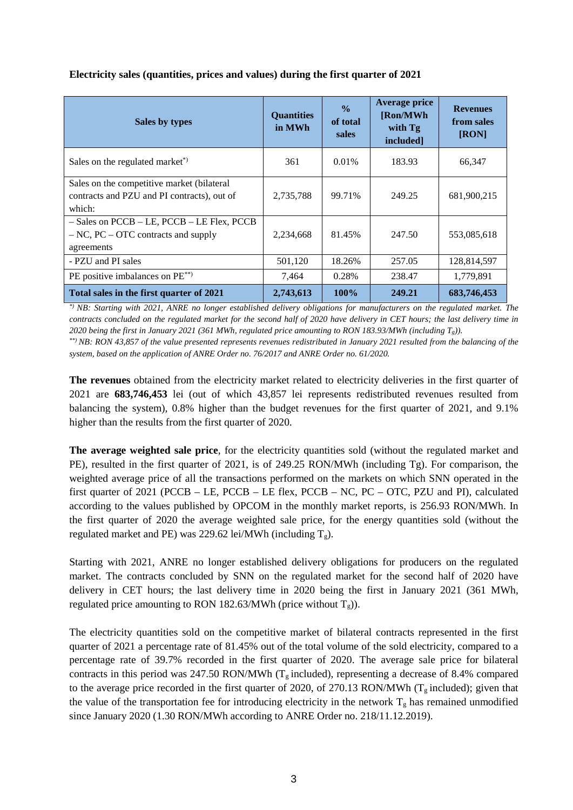| Sales by types                                                                                      | <b>Quantities</b><br>in MWh | $\frac{6}{9}$<br>of total<br>sales | <b>Average price</b><br>[Ron/MWh]<br>with Tg<br>included] | <b>Revenues</b><br>from sales<br>[RON] |
|-----------------------------------------------------------------------------------------------------|-----------------------------|------------------------------------|-----------------------------------------------------------|----------------------------------------|
| Sales on the regulated market <sup>*</sup> )                                                        | 361                         | $0.01\%$                           | 183.93                                                    | 66,347                                 |
| Sales on the competitive market (bilateral<br>contracts and PZU and PI contracts), out of<br>which: | 2,735,788                   | 99.71%                             | 249.25                                                    | 681,900,215                            |
| - Sales on PCCB - LE, PCCB - LE Flex, PCCB<br>$-NC$ , PC $-$ OTC contracts and supply<br>agreements | 2,234,668                   | 81.45%                             | 247.50                                                    | 553,085,618                            |
| - PZU and PI sales                                                                                  | 501,120                     | 18.26%                             | 257.05                                                    | 128,814,597                            |
| PE positive imbalances on PE <sup>**</sup>                                                          | 7,464                       | 0.28%                              | 238.47                                                    | 1,779,891                              |
| Total sales in the first quarter of 2021                                                            | 2,743,613                   | 100%                               | 249.21                                                    | 683,746,453                            |

#### **Electricity sales (quantities, prices and values) during the first quarter of 2021**

*\*) NB: Starting with 2021, ANRE no longer established delivery obligations for manufacturers on the regulated market. The contracts concluded on the regulated market for the second half of 2020 have delivery in CET hours; the last delivery time in 2020 being the first in January 2021 (361 MWh, regulated price amounting to RON 183.93/MWh (including Tg)).*

*\*\*) NB: RON 43,857 of the value presented represents revenues redistributed in January 2021 resulted from the balancing of the system, based on the application of ANRE Order no. 76/2017 and ANRE Order no. 61/2020.*

**The revenues** obtained from the electricity market related to electricity deliveries in the first quarter of 2021 are **683,746,453** lei (out of which 43,857 lei represents redistributed revenues resulted from balancing the system), 0.8% higher than the budget revenues for the first quarter of 2021, and 9.1% higher than the results from the first quarter of 2020.

**The average weighted sale price**, for the electricity quantities sold (without the regulated market and PE), resulted in the first quarter of 2021, is of 249.25 RON/MWh (including Tg). For comparison, the weighted average price of all the transactions performed on the markets on which SNN operated in the first quarter of 2021 (PCCB – LE, PCCB – LE flex, PCCB – NC, PC – OTC, PZU and PI), calculated according to the values published by OPCOM in the monthly market reports, is 256.93 RON/MWh. In the first quarter of 2020 the average weighted sale price, for the energy quantities sold (without the regulated market and PE) was 229.62 lei/MWh (including  $T_g$ ).

Starting with 2021, ANRE no longer established delivery obligations for producers on the regulated market. The contracts concluded by SNN on the regulated market for the second half of 2020 have delivery in CET hours; the last delivery time in 2020 being the first in January 2021 (361 MWh, regulated price amounting to RON 182.63/MWh (price without  $T_g$ )).

The electricity quantities sold on the competitive market of bilateral contracts represented in the first quarter of 2021 a percentage rate of 81.45% out of the total volume of the sold electricity, compared to a percentage rate of 39.7% recorded in the first quarter of 2020. The average sale price for bilateral contracts in this period was 247.50 RON/MWh ( $T_g$  included), representing a decrease of 8.4% compared to the average price recorded in the first quarter of 2020, of 270.13 RON/MWh ( $T<sub>g</sub>$  included); given that the value of the transportation fee for introducing electricity in the network  $T_g$  has remained unmodified since January 2020 (1.30 RON/MWh according to ANRE Order no. 218/11.12.2019).